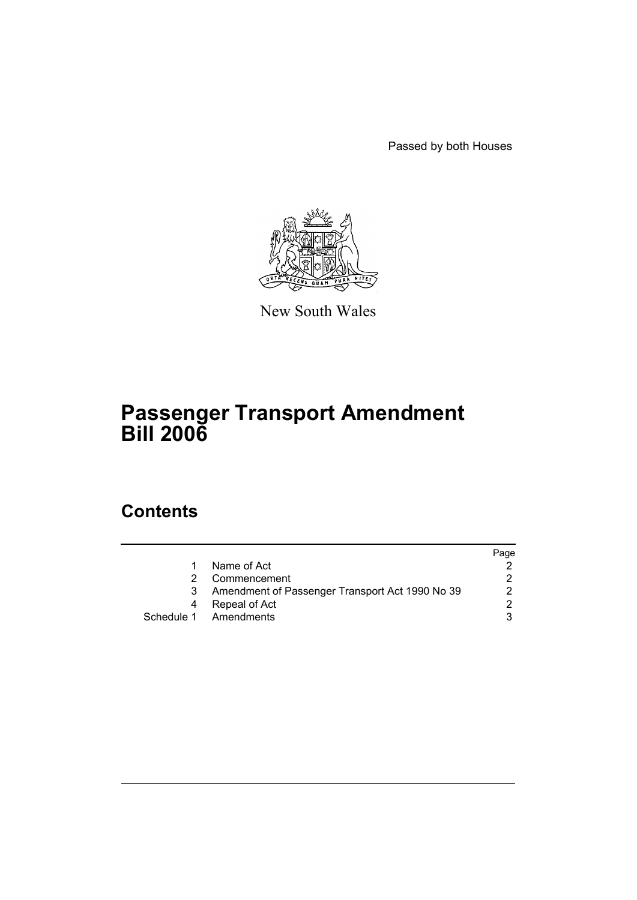Passed by both Houses



New South Wales

# **Passenger Transport Amendment Bill 2006**

## **Contents**

|                                                 | Page |
|-------------------------------------------------|------|
| Name of Act                                     |      |
| Commencement                                    |      |
| Amendment of Passenger Transport Act 1990 No 39 |      |
| Repeal of Act                                   |      |
| Schedule 1 Amendments                           |      |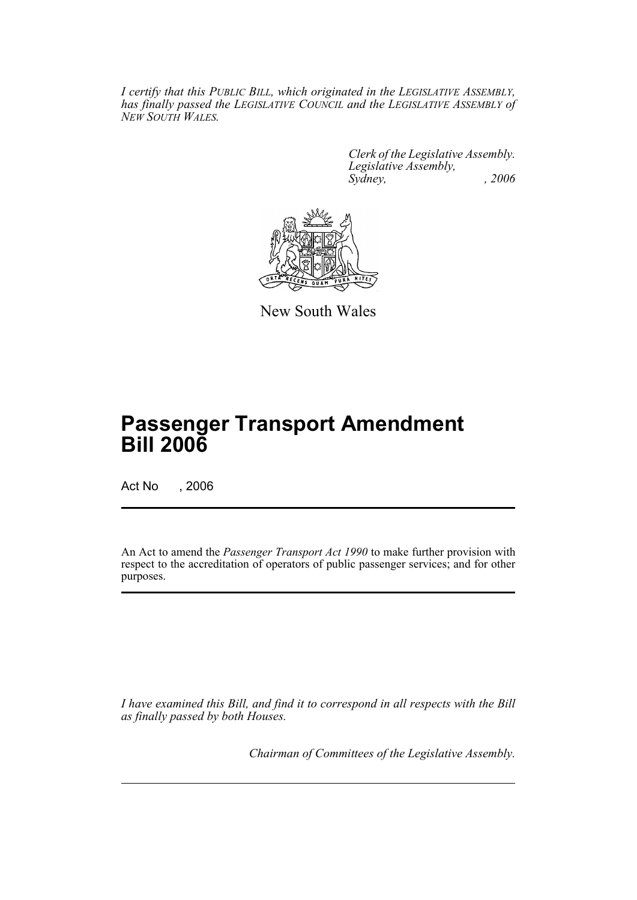*I certify that this PUBLIC BILL, which originated in the LEGISLATIVE ASSEMBLY, has finally passed the LEGISLATIVE COUNCIL and the LEGISLATIVE ASSEMBLY of NEW SOUTH WALES.*

> *Clerk of the Legislative Assembly. Legislative Assembly, Sydney, , 2006*



New South Wales

# **Passenger Transport Amendment Bill 2006**

Act No , 2006

An Act to amend the *Passenger Transport Act 1990* to make further provision with respect to the accreditation of operators of public passenger services; and for other purposes.

*I have examined this Bill, and find it to correspond in all respects with the Bill as finally passed by both Houses.*

*Chairman of Committees of the Legislative Assembly.*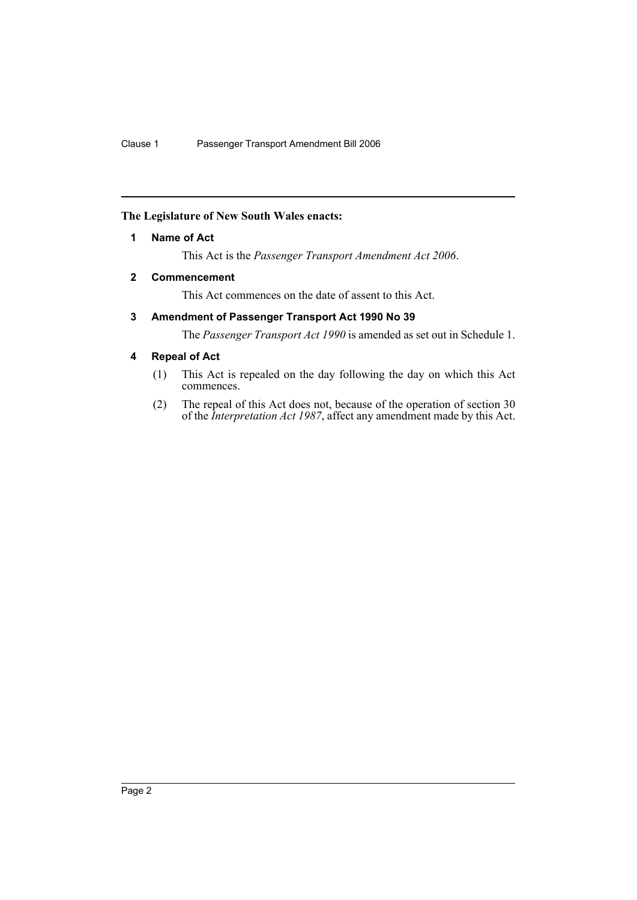## **The Legislature of New South Wales enacts:**

### **1 Name of Act**

This Act is the *Passenger Transport Amendment Act 2006*.

## **2 Commencement**

This Act commences on the date of assent to this Act.

## **3 Amendment of Passenger Transport Act 1990 No 39**

The *Passenger Transport Act 1990* is amended as set out in Schedule 1.

## **4 Repeal of Act**

- (1) This Act is repealed on the day following the day on which this Act commences.
- (2) The repeal of this Act does not, because of the operation of section 30 of the *Interpretation Act 1987*, affect any amendment made by this Act.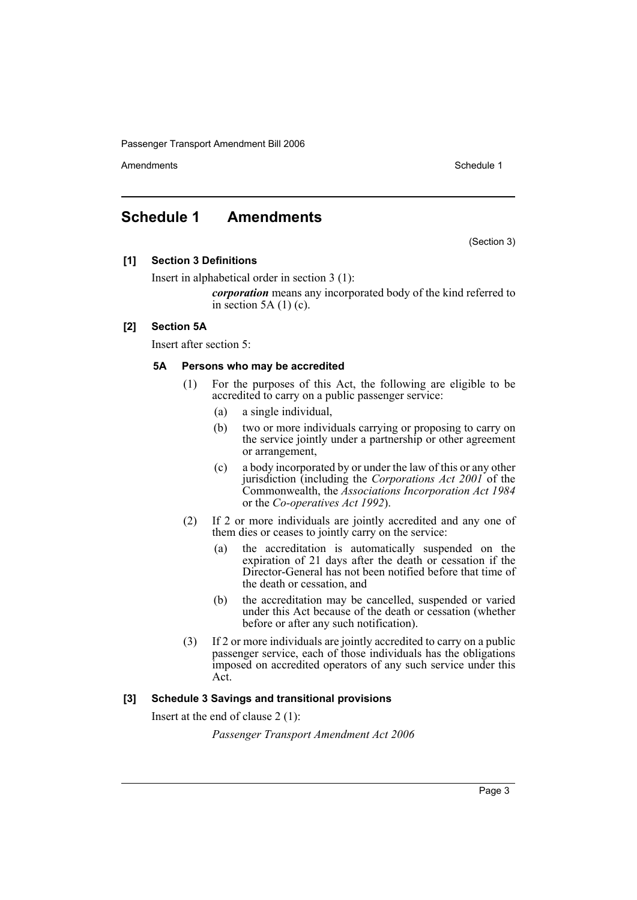Passenger Transport Amendment Bill 2006

Amendments **Amendments** Schedule 1

## **Schedule 1 Amendments**

(Section 3)

**[1] Section 3 Definitions**

Insert in alphabetical order in section 3 (1):

*corporation* means any incorporated body of the kind referred to in section 5A  $(1)$  (c).

### **[2] Section 5A**

Insert after section 5:

### **5A Persons who may be accredited**

- (1) For the purposes of this Act, the following are eligible to be accredited to carry on a public passenger service:
	- (a) a single individual,
	- (b) two or more individuals carrying or proposing to carry on the service jointly under a partnership or other agreement or arrangement,
	- (c) a body incorporated by or under the law of this or any other jurisdiction (including the *Corporations Act 2001* of the Commonwealth, the *Associations Incorporation Act 1984* or the *Co-operatives Act 1992*).
- (2) If 2 or more individuals are jointly accredited and any one of them dies or ceases to jointly carry on the service:
	- (a) the accreditation is automatically suspended on the expiration of 21 days after the death or cessation if the Director-General has not been notified before that time of the death or cessation, and
	- (b) the accreditation may be cancelled, suspended or varied under this Act because of the death or cessation (whether before or after any such notification).
- (3) If 2 or more individuals are jointly accredited to carry on a public passenger service, each of those individuals has the obligations imposed on accredited operators of any such service under this Act.

## **[3] Schedule 3 Savings and transitional provisions**

Insert at the end of clause 2 (1):

*Passenger Transport Amendment Act 2006*